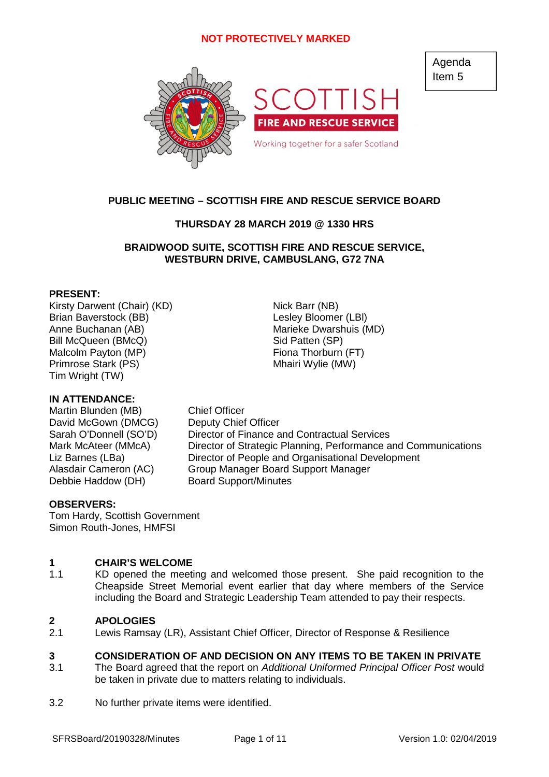

# **PUBLIC MEETING – SCOTTISH FIRE AND RESCUE SERVICE BOARD**

# **THURSDAY 28 MARCH 2019 @ 1330 HRS**

# **BRAIDWOOD SUITE, SCOTTISH FIRE AND RESCUE SERVICE, WESTBURN DRIVE, CAMBUSLANG, G72 7NA**

### **PRESENT:**

Kirsty Darwent (Chair) (KD) Nick Barr (NB) Brian Baverstock (BB) Contract Contract Lesley Bloomer (LBI) Anne Buchanan (AB) Marieke Dwarshuis (MD) Bill McQueen (BMcQ) Sid Patten (SP) Malcolm Payton (MP) Fiona Thorburn (FT) Primrose Stark (PS) Mhairi Wylie (MW) Tim Wright (TW)

### **IN ATTENDANCE:**

Martin Blunden (MB) Chief Officer David McGown (DMCG) Deputy Chief Officer Debbie Haddow (DH) Board Support/Minutes

### **OBSERVERS:**

Tom Hardy, Scottish Government Simon Routh-Jones, HMFSI

### **1 CHAIR'S WELCOME**

1.1 KD opened the meeting and welcomed those present. She paid recognition to the Cheapside Street Memorial event earlier that day where members of the Service including the Board and Strategic Leadership Team attended to pay their respects.

### **2 APOLOGIES**

2.1 Lewis Ramsay (LR), Assistant Chief Officer, Director of Response & Resilience

### **3 CONSIDERATION OF AND DECISION ON ANY ITEMS TO BE TAKEN IN PRIVATE**

- 3.1 The Board agreed that the report on *Additional Uniformed Principal Officer Post* would be taken in private due to matters relating to individuals.
- 3.2 No further private items were identified.

SFRSBoard/20190328/Minutes Page 1 of 11 Version 1.0: 02/04/2019

Agenda Item 5

Sarah O'Donnell (SO'D) Director of Finance and Contractual Services Mark McAteer (MMcA) Director of Strategic Planning, Performance and Communications Liz Barnes (LBa) Director of People and Organisational Development Alasdair Cameron (AC) Group Manager Board Support Manager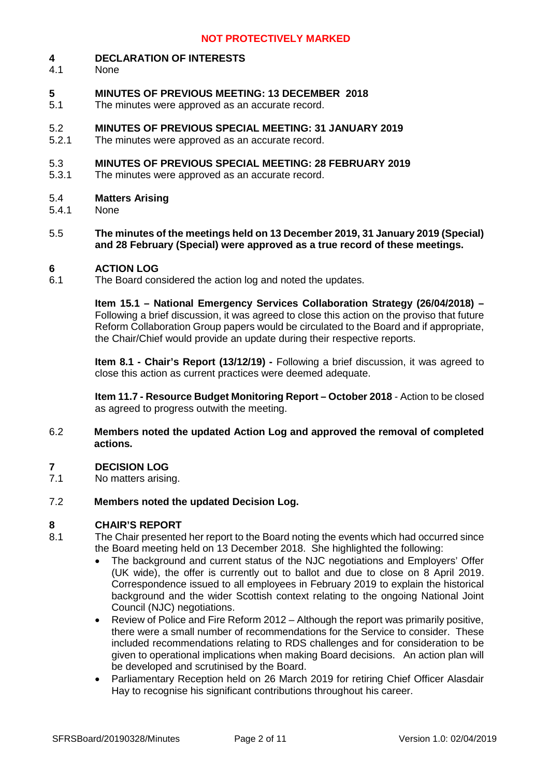### **4 DECLARATION OF INTERESTS**

4.1 None

### **5 MINUTES OF PREVIOUS MEETING: 13 DECEMBER 2018**

5.1 The minutes were approved as an accurate record.

### 5.2 **MINUTES OF PREVIOUS SPECIAL MEETING: 31 JANUARY 2019**

5.2.1 The minutes were approved as an accurate record.

### 5.3 **MINUTES OF PREVIOUS SPECIAL MEETING: 28 FEBRUARY 2019**

5.3.1 The minutes were approved as an accurate record.

### 5.4 **Matters Arising**

- 5.4.1 None
- 5.5 **The minutes of the meetings held on 13 December 2019, 31 January 2019 (Special) and 28 February (Special) were approved as a true record of these meetings.**

### **6 ACTION LOG**

6.1 The Board considered the action log and noted the updates.

> **Item 15.1 – National Emergency Services Collaboration Strategy (26/04/2018) –** Following a brief discussion, it was agreed to close this action on the proviso that future Reform Collaboration Group papers would be circulated to the Board and if appropriate, the Chair/Chief would provide an update during their respective reports.

> **Item 8.1 - Chair's Report (13/12/19) -** Following a brief discussion, it was agreed to close this action as current practices were deemed adequate.

> **Item 11.7 - Resource Budget Monitoring Report – October 2018** - Action to be closed as agreed to progress outwith the meeting.

6.2 **Members noted the updated Action Log and approved the removal of completed actions.**

### **7 DECISION LOG**

7.1 No matters arising.

### 7.2 **Members noted the updated Decision Log.**

# **8 CHAIR'S REPORT**

- 8.1 The Chair presented her report to the Board noting the events which had occurred since the Board meeting held on 13 December 2018. She highlighted the following:
	- The background and current status of the NJC negotiations and Employers' Offer (UK wide), the offer is currently out to ballot and due to close on 8 April 2019. Correspondence issued to all employees in February 2019 to explain the historical background and the wider Scottish context relating to the ongoing National Joint Council (NJC) negotiations.
	- Review of Police and Fire Reform 2012 Although the report was primarily positive, there were a small number of recommendations for the Service to consider. These included recommendations relating to RDS challenges and for consideration to be given to operational implications when making Board decisions. An action plan will be developed and scrutinised by the Board.
	- Parliamentary Reception held on 26 March 2019 for retiring Chief Officer Alasdair Hay to recognise his significant contributions throughout his career.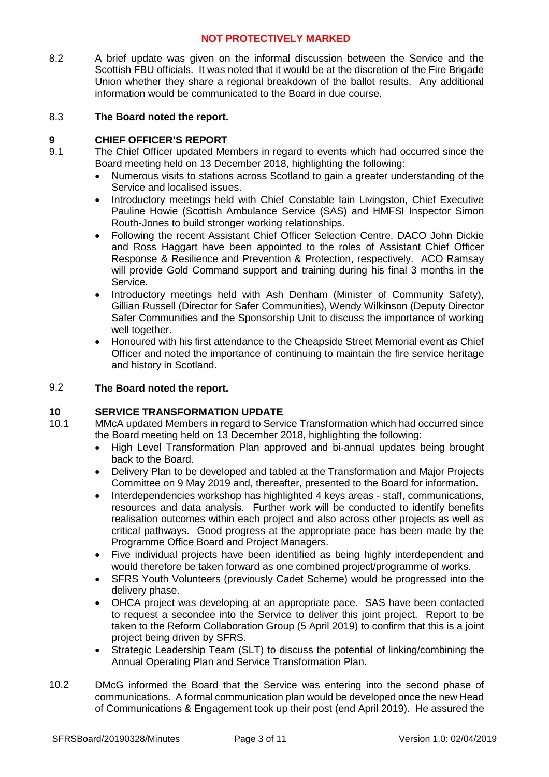8.2 A brief update was given on the informal discussion between the Service and the Scottish FBU officials. It was noted that it would be at the discretion of the Fire Brigade Union whether they share a regional breakdown of the ballot results. Any additional information would be communicated to the Board in due course.

### 8.3 **The Board noted the report.**

# **9 CHIEF OFFICER'S REPORT**

- 9.1 The Chief Officer updated Members in regard to events which had occurred since the Board meeting held on 13 December 2018, highlighting the following:
	- Numerous visits to stations across Scotland to gain a greater understanding of the Service and localised issues.
	- Introductory meetings held with Chief Constable Iain Livingston, Chief Executive Pauline Howie (Scottish Ambulance Service (SAS) and HMFSI Inspector Simon Routh-Jones to build stronger working relationships.
	- Following the recent Assistant Chief Officer Selection Centre, DACO John Dickie and Ross Haggart have been appointed to the roles of Assistant Chief Officer Response & Resilience and Prevention & Protection, respectively. ACO Ramsay will provide Gold Command support and training during his final 3 months in the Service.
	- Introductory meetings held with Ash Denham (Minister of Community Safety), Gillian Russell (Director for Safer Communities), Wendy Wilkinson (Deputy Director Safer Communities and the Sponsorship Unit to discuss the importance of working well together.
	- Honoured with his first attendance to the Cheapside Street Memorial event as Chief Officer and noted the importance of continuing to maintain the fire service heritage and history in Scotland.

### 9.2 **The Board noted the report.**

### **10 SERVICE TRANSFORMATION UPDATE**

- 10.1 MMcA updated Members in regard to Service Transformation which had occurred since the Board meeting held on 13 December 2018, highlighting the following:
	- High Level Transformation Plan approved and bi-annual updates being brought back to the Board.
	- Delivery Plan to be developed and tabled at the Transformation and Major Projects Committee on 9 May 2019 and, thereafter, presented to the Board for information.
	- Interdependencies workshop has highlighted 4 keys areas staff, communications, resources and data analysis. Further work will be conducted to identify benefits realisation outcomes within each project and also across other projects as well as critical pathways. Good progress at the appropriate pace has been made by the Programme Office Board and Project Managers.
	- Five individual projects have been identified as being highly interdependent and would therefore be taken forward as one combined project/programme of works.
	- SFRS Youth Volunteers (previously Cadet Scheme) would be progressed into the delivery phase.
	- OHCA project was developing at an appropriate pace. SAS have been contacted to request a secondee into the Service to deliver this joint project. Report to be taken to the Reform Collaboration Group (5 April 2019) to confirm that this is a joint project being driven by SFRS.
	- Strategic Leadership Team (SLT) to discuss the potential of linking/combining the Annual Operating Plan and Service Transformation Plan.
- 10.2 DMcG informed the Board that the Service was entering into the second phase of communications. A formal communication plan would be developed once the new Head of Communications & Engagement took up their post (end April 2019). He assured the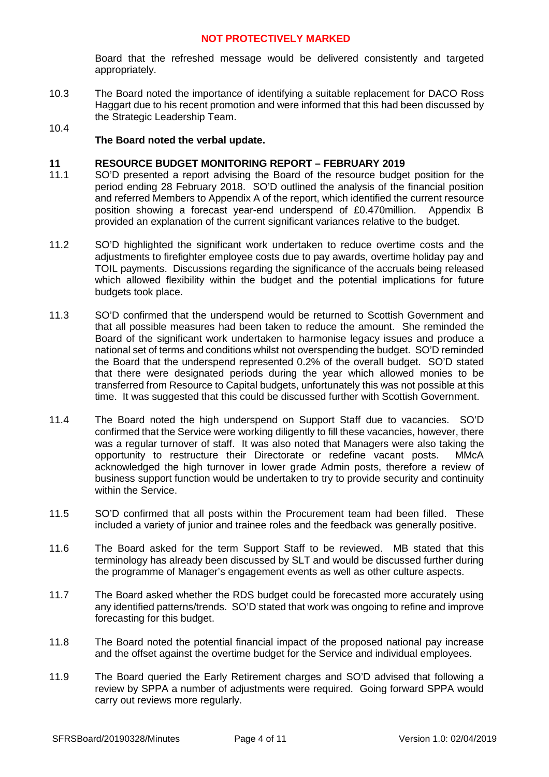Board that the refreshed message would be delivered consistently and targeted appropriately.

10.3 The Board noted the importance of identifying a suitable replacement for DACO Ross Haggart due to his recent promotion and were informed that this had been discussed by the Strategic Leadership Team.

# **The Board noted the verbal update.**

10.4

### **11 RESOURCE BUDGET MONITORING REPORT – FEBRUARY 2019**

- 11.1 SO'D presented a report advising the Board of the resource budget position for the period ending 28 February 2018. SO'D outlined the analysis of the financial position and referred Members to Appendix A of the report, which identified the current resource position showing a forecast year-end underspend of £0.470million. Appendix B provided an explanation of the current significant variances relative to the budget.
- 11.2 SO'D highlighted the significant work undertaken to reduce overtime costs and the adjustments to firefighter employee costs due to pay awards, overtime holiday pay and TOIL payments. Discussions regarding the significance of the accruals being released which allowed flexibility within the budget and the potential implications for future budgets took place.
- 11.3 SO'D confirmed that the underspend would be returned to Scottish Government and that all possible measures had been taken to reduce the amount. She reminded the Board of the significant work undertaken to harmonise legacy issues and produce a national set of terms and conditions whilst not overspending the budget. SO'D reminded the Board that the underspend represented 0.2% of the overall budget. SO'D stated that there were designated periods during the year which allowed monies to be transferred from Resource to Capital budgets, unfortunately this was not possible at this time. It was suggested that this could be discussed further with Scottish Government.
- 11.4 The Board noted the high underspend on Support Staff due to vacancies. SO'D confirmed that the Service were working diligently to fill these vacancies, however, there was a regular turnover of staff. It was also noted that Managers were also taking the opportunity to restructure their Directorate or redefine vacant posts. MMcA acknowledged the high turnover in lower grade Admin posts, therefore a review of business support function would be undertaken to try to provide security and continuity within the Service.
- 11.5 SO'D confirmed that all posts within the Procurement team had been filled. These included a variety of junior and trainee roles and the feedback was generally positive.
- 11.6 The Board asked for the term Support Staff to be reviewed. MB stated that this terminology has already been discussed by SLT and would be discussed further during the programme of Manager's engagement events as well as other culture aspects.
- 11.7 The Board asked whether the RDS budget could be forecasted more accurately using any identified patterns/trends. SO'D stated that work was ongoing to refine and improve forecasting for this budget.
- 11.8 The Board noted the potential financial impact of the proposed national pay increase and the offset against the overtime budget for the Service and individual employees.
- 11.9 The Board queried the Early Retirement charges and SO'D advised that following a review by SPPA a number of adjustments were required. Going forward SPPA would carry out reviews more regularly.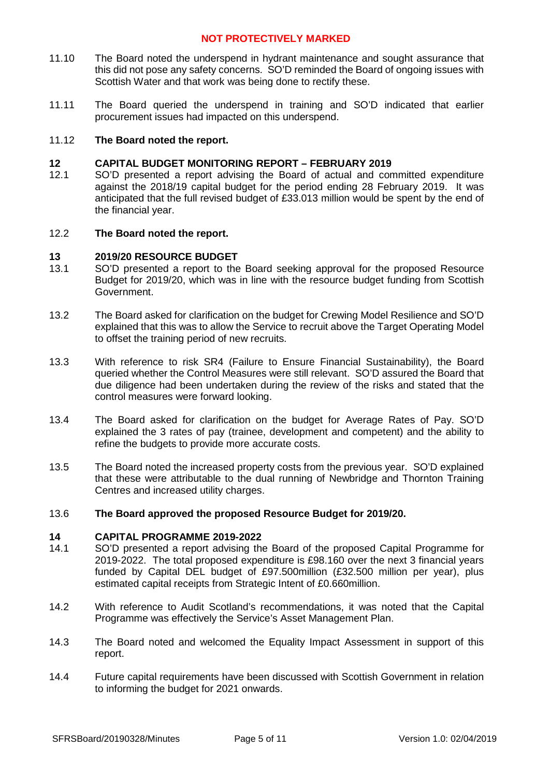- 11.10 The Board noted the underspend in hydrant maintenance and sought assurance that this did not pose any safety concerns. SO'D reminded the Board of ongoing issues with Scottish Water and that work was being done to rectify these.
- 11.11 The Board queried the underspend in training and SO'D indicated that earlier procurement issues had impacted on this underspend.

### 11.12 **The Board noted the report.**

### **12 CAPITAL BUDGET MONITORING REPORT – FEBRUARY 2019**

12.1 SO'D presented a report advising the Board of actual and committed expenditure against the 2018/19 capital budget for the period ending 28 February 2019. It was anticipated that the full revised budget of £33.013 million would be spent by the end of the financial year.

### 12.2 **The Board noted the report.**

### **13 2019/20 RESOURCE BUDGET**

- 13.1 SO'D presented a report to the Board seeking approval for the proposed Resource Budget for 2019/20, which was in line with the resource budget funding from Scottish Government.
- 13.2 The Board asked for clarification on the budget for Crewing Model Resilience and SO'D explained that this was to allow the Service to recruit above the Target Operating Model to offset the training period of new recruits.
- 13.3 With reference to risk SR4 (Failure to Ensure Financial Sustainability), the Board queried whether the Control Measures were still relevant. SO'D assured the Board that due diligence had been undertaken during the review of the risks and stated that the control measures were forward looking.
- 13.4 The Board asked for clarification on the budget for Average Rates of Pay. SO'D explained the 3 rates of pay (trainee, development and competent) and the ability to refine the budgets to provide more accurate costs.
- 13.5 The Board noted the increased property costs from the previous year. SO'D explained that these were attributable to the dual running of Newbridge and Thornton Training Centres and increased utility charges.

### 13.6 **The Board approved the proposed Resource Budget for 2019/20.**

### **14 CAPITAL PROGRAMME 2019-2022**

- 14.1 SO'D presented a report advising the Board of the proposed Capital Programme for 2019-2022. The total proposed expenditure is £98.160 over the next 3 financial years funded by Capital DEL budget of £97.500million (£32.500 million per year), plus estimated capital receipts from Strategic Intent of £0.660million.
- 14.2 With reference to Audit Scotland's recommendations, it was noted that the Capital Programme was effectively the Service's Asset Management Plan.
- 14.3 The Board noted and welcomed the Equality Impact Assessment in support of this report.
- 14.4 Future capital requirements have been discussed with Scottish Government in relation to informing the budget for 2021 onwards.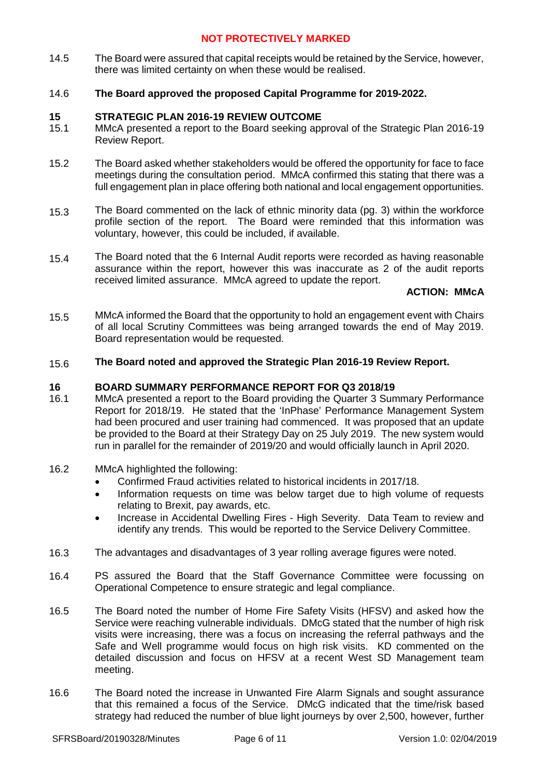14.5 The Board were assured that capital receipts would be retained by the Service, however, there was limited certainty on when these would be realised.

### 14.6 **The Board approved the proposed Capital Programme for 2019-2022.**

### **15 STRATEGIC PLAN 2016-19 REVIEW OUTCOME**

- 15.1 MMcA presented a report to the Board seeking approval of the Strategic Plan 2016-19 Review Report.
- 15.2 The Board asked whether stakeholders would be offered the opportunity for face to face meetings during the consultation period. MMcA confirmed this stating that there was a full engagement plan in place offering both national and local engagement opportunities.
- 15.3 The Board commented on the lack of ethnic minority data (pg. 3) within the workforce profile section of the report. The Board were reminded that this information was voluntary, however, this could be included, if available.
- 15.4 The Board noted that the 6 Internal Audit reports were recorded as having reasonable assurance within the report, however this was inaccurate as 2 of the audit reports received limited assurance. MMcA agreed to update the report.

# **ACTION: MMcA**

15.5 MMcA informed the Board that the opportunity to hold an engagement event with Chairs of all local Scrutiny Committees was being arranged towards the end of May 2019. Board representation would be requested.

### 15.6 **The Board noted and approved the Strategic Plan 2016-19 Review Report.**

### **16 BOARD SUMMARY PERFORMANCE REPORT FOR Q3 2018/19**

- 16.1 MMcA presented a report to the Board providing the Quarter 3 Summary Performance Report for 2018/19. He stated that the 'InPhase' Performance Management System had been procured and user training had commenced. It was proposed that an update be provided to the Board at their Strategy Day on 25 July 2019. The new system would run in parallel for the remainder of 2019/20 and would officially launch in April 2020.
- 16.2 MMcA highlighted the following:
	- Confirmed Fraud activities related to historical incidents in 2017/18.
	- Information requests on time was below target due to high volume of requests relating to Brexit, pay awards, etc.
	- Increase in Accidental Dwelling Fires High Severity. Data Team to review and identify any trends. This would be reported to the Service Delivery Committee.
- 16.3 The advantages and disadvantages of 3 year rolling average figures were noted.
- 16.4 PS assured the Board that the Staff Governance Committee were focussing on Operational Competence to ensure strategic and legal compliance.
- 16.5 The Board noted the number of Home Fire Safety Visits (HFSV) and asked how the Service were reaching vulnerable individuals. DMcG stated that the number of high risk visits were increasing, there was a focus on increasing the referral pathways and the Safe and Well programme would focus on high risk visits. KD commented on the detailed discussion and focus on HFSV at a recent West SD Management team meeting.
- 16.6 The Board noted the increase in Unwanted Fire Alarm Signals and sought assurance that this remained a focus of the Service. DMcG indicated that the time/risk based strategy had reduced the number of blue light journeys by over 2,500, however, further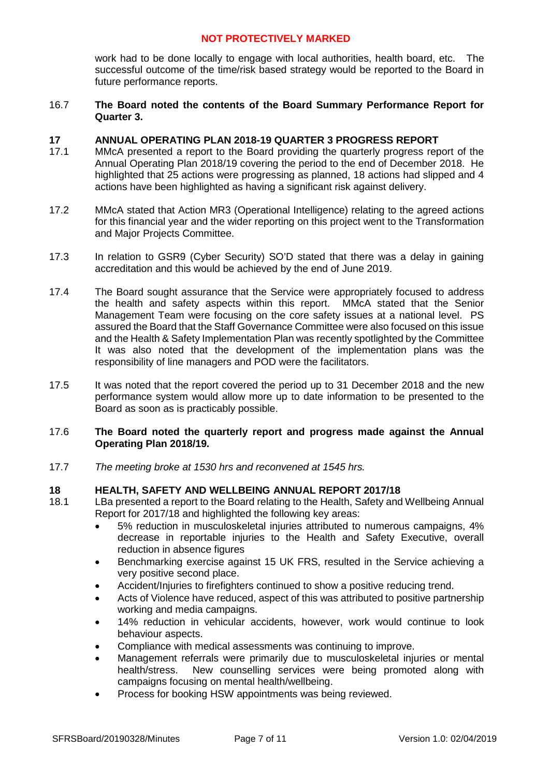work had to be done locally to engage with local authorities, health board, etc. The successful outcome of the time/risk based strategy would be reported to the Board in future performance reports.

### 16.7 **The Board noted the contents of the Board Summary Performance Report for Quarter 3.**

### **17 ANNUAL OPERATING PLAN 2018-19 QUARTER 3 PROGRESS REPORT**

- 17.1 MMcA presented a report to the Board providing the quarterly progress report of the Annual Operating Plan 2018/19 covering the period to the end of December 2018. He highlighted that 25 actions were progressing as planned, 18 actions had slipped and 4 actions have been highlighted as having a significant risk against delivery.
- 17.2 MMcA stated that Action MR3 (Operational Intelligence) relating to the agreed actions for this financial year and the wider reporting on this project went to the Transformation and Major Projects Committee.
- 17.3 In relation to GSR9 (Cyber Security) SO'D stated that there was a delay in gaining accreditation and this would be achieved by the end of June 2019.
- 17.4 The Board sought assurance that the Service were appropriately focused to address the health and safety aspects within this report. MMcA stated that the Senior Management Team were focusing on the core safety issues at a national level. PS assured the Board that the Staff Governance Committee were also focused on this issue and the Health & Safety Implementation Plan was recently spotlighted by the Committee It was also noted that the development of the implementation plans was the responsibility of line managers and POD were the facilitators.
- 17.5 It was noted that the report covered the period up to 31 December 2018 and the new performance system would allow more up to date information to be presented to the Board as soon as is practicably possible.

### 17.6 **The Board noted the quarterly report and progress made against the Annual Operating Plan 2018/19.**

17.7 *The meeting broke at 1530 hrs and reconvened at 1545 hrs.*

# **18 HEALTH, SAFETY AND WELLBEING ANNUAL REPORT 2017/18**<br>18.1 HBa presented a report to the Board relating to the Health Safety and

- LBa presented a report to the Board relating to the Health, Safety and Wellbeing Annual Report for 2017/18 and highlighted the following key areas:
	- 5% reduction in musculoskeletal injuries attributed to numerous campaigns, 4% decrease in reportable injuries to the Health and Safety Executive, overall reduction in absence figures
	- Benchmarking exercise against 15 UK FRS, resulted in the Service achieving a very positive second place.
	- Accident/Injuries to firefighters continued to show a positive reducing trend.
	- Acts of Violence have reduced, aspect of this was attributed to positive partnership working and media campaigns.
	- 14% reduction in vehicular accidents, however, work would continue to look behaviour aspects.
	- Compliance with medical assessments was continuing to improve.
	- Management referrals were primarily due to musculoskeletal injuries or mental health/stress. New counselling services were being promoted along with campaigns focusing on mental health/wellbeing.
	- Process for booking HSW appointments was being reviewed.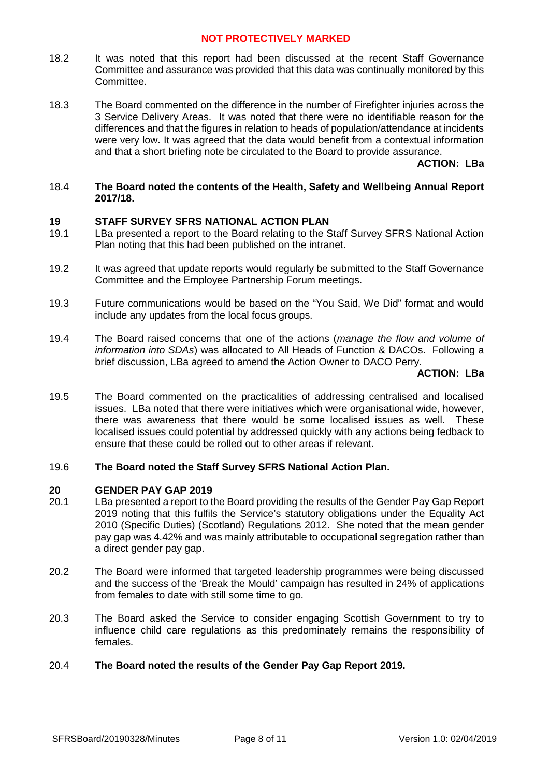- 18.2 It was noted that this report had been discussed at the recent Staff Governance Committee and assurance was provided that this data was continually monitored by this Committee.
- 18.3 The Board commented on the difference in the number of Firefighter injuries across the 3 Service Delivery Areas. It was noted that there were no identifiable reason for the differences and that the figures in relation to heads of population/attendance at incidents were very low. It was agreed that the data would benefit from a contextual information and that a short briefing note be circulated to the Board to provide assurance.

### **ACTION: LBa**

### 18.4 **The Board noted the contents of the Health, Safety and Wellbeing Annual Report 2017/18.**

### **19 STAFF SURVEY SFRS NATIONAL ACTION PLAN**

- 19.1 LBa presented a report to the Board relating to the Staff Survey SFRS National Action Plan noting that this had been published on the intranet.
- 19.2 It was agreed that update reports would regularly be submitted to the Staff Governance Committee and the Employee Partnership Forum meetings.
- 19.3 Future communications would be based on the "You Said, We Did" format and would include any updates from the local focus groups.
- 19.4 The Board raised concerns that one of the actions (*manage the flow and volume of information into SDAs*) was allocated to All Heads of Function & DACOs. Following a brief discussion, LBa agreed to amend the Action Owner to DACO Perry.

### **ACTION: LBa**

19.5 The Board commented on the practicalities of addressing centralised and localised issues. LBa noted that there were initiatives which were organisational wide, however, there was awareness that there would be some localised issues as well. These localised issues could potential by addressed quickly with any actions being fedback to ensure that these could be rolled out to other areas if relevant.

### 19.6 **The Board noted the Staff Survey SFRS National Action Plan.**

### **20 GENDER PAY GAP 2019**

- 20.1 LBa presented a report to the Board providing the results of the Gender Pay Gap Report 2019 noting that this fulfils the Service's statutory obligations under the Equality Act 2010 (Specific Duties) (Scotland) Regulations 2012. She noted that the mean gender pay gap was 4.42% and was mainly attributable to occupational segregation rather than a direct gender pay gap.
- 20.2 The Board were informed that targeted leadership programmes were being discussed and the success of the 'Break the Mould' campaign has resulted in 24% of applications from females to date with still some time to go.
- 20.3 The Board asked the Service to consider engaging Scottish Government to try to influence child care regulations as this predominately remains the responsibility of females.

### 20.4 **The Board noted the results of the Gender Pay Gap Report 2019.**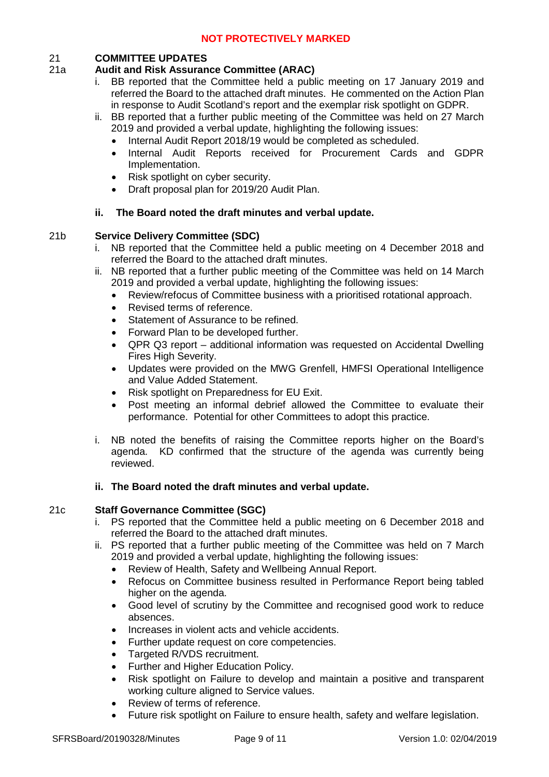# 21 **COMMITTEE UPDATES**

# 21a **Audit and Risk Assurance Committee (ARAC)**

- i. BB reported that the Committee held a public meeting on 17 January 2019 and referred the Board to the attached draft minutes. He commented on the Action Plan in response to Audit Scotland's report and the exemplar risk spotlight on GDPR.
- ii. BB reported that a further public meeting of the Committee was held on 27 March 2019 and provided a verbal update, highlighting the following issues:
	- Internal Audit Report 2018/19 would be completed as scheduled.
	- Internal Audit Reports received for Procurement Cards and GDPR Implementation.
	- Risk spotlight on cyber security.
	- Draft proposal plan for 2019/20 Audit Plan.

# **ii. The Board noted the draft minutes and verbal update.**

# 21b **Service Delivery Committee (SDC)**

- i. NB reported that the Committee held a public meeting on 4 December 2018 and referred the Board to the attached draft minutes.
- ii. NB reported that a further public meeting of the Committee was held on 14 March 2019 and provided a verbal update, highlighting the following issues:
	- Review/refocus of Committee business with a prioritised rotational approach.
	- Revised terms of reference.
	- Statement of Assurance to be refined.
	- Forward Plan to be developed further.
	- QPR Q3 report additional information was requested on Accidental Dwelling Fires High Severity.
	- Updates were provided on the MWG Grenfell, HMFSI Operational Intelligence and Value Added Statement.
	- Risk spotlight on Preparedness for EU Exit.
	- Post meeting an informal debrief allowed the Committee to evaluate their performance. Potential for other Committees to adopt this practice.
- i. NB noted the benefits of raising the Committee reports higher on the Board's agenda. KD confirmed that the structure of the agenda was currently being reviewed.

# **ii. The Board noted the draft minutes and verbal update.**

# 21c **Staff Governance Committee (SGC)**

- i. PS reported that the Committee held a public meeting on 6 December 2018 and referred the Board to the attached draft minutes.
- ii. PS reported that a further public meeting of the Committee was held on 7 March 2019 and provided a verbal update, highlighting the following issues:
	- Review of Health, Safety and Wellbeing Annual Report.
	- Refocus on Committee business resulted in Performance Report being tabled higher on the agenda.
	- Good level of scrutiny by the Committee and recognised good work to reduce absences.
	- Increases in violent acts and vehicle accidents.
	- Further update request on core competencies.
	- Targeted R/VDS recruitment.
	- Further and Higher Education Policy.
	- Risk spotlight on Failure to develop and maintain a positive and transparent working culture aligned to Service values.
	- Review of terms of reference.
	- Future risk spotlight on Failure to ensure health, safety and welfare legislation.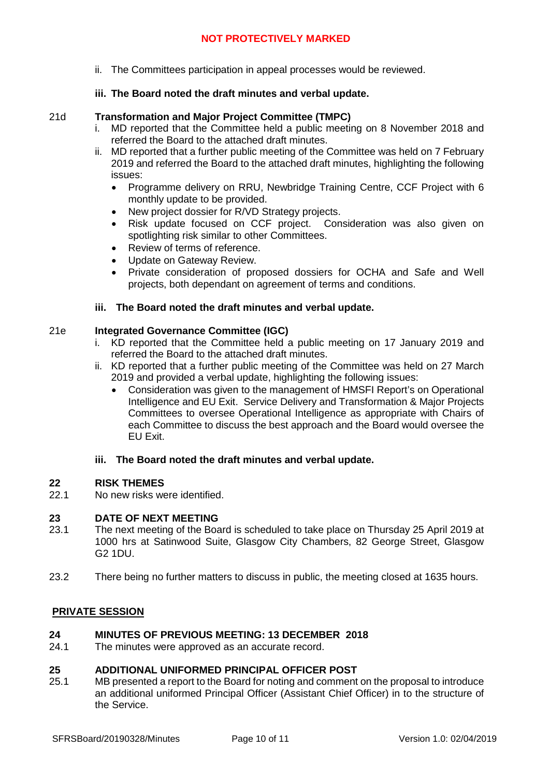ii. The Committees participation in appeal processes would be reviewed.

# **iii. The Board noted the draft minutes and verbal update.**

### 21d **Transformation and Major Project Committee (TMPC)**

- i. MD reported that the Committee held a public meeting on 8 November 2018 and referred the Board to the attached draft minutes.
- ii. MD reported that a further public meeting of the Committee was held on 7 February 2019 and referred the Board to the attached draft minutes, highlighting the following issues:
	- Programme delivery on RRU, Newbridge Training Centre, CCF Project with 6 monthly update to be provided.
	- New project dossier for R/VD Strategy projects.
	- Risk update focused on CCF project. Consideration was also given on spotlighting risk similar to other Committees.
	- Review of terms of reference.
	- Update on Gateway Review.
	- Private consideration of proposed dossiers for OCHA and Safe and Well projects, both dependant on agreement of terms and conditions.

### **iii. The Board noted the draft minutes and verbal update.**

### 21e **Integrated Governance Committee (IGC)**

- i. KD reported that the Committee held a public meeting on 17 January 2019 and referred the Board to the attached draft minutes.
- ii. KD reported that a further public meeting of the Committee was held on 27 March 2019 and provided a verbal update, highlighting the following issues:
	- Consideration was given to the management of HMSFI Report's on Operational Intelligence and EU Exit. Service Delivery and Transformation & Major Projects Committees to oversee Operational Intelligence as appropriate with Chairs of each Committee to discuss the best approach and the Board would oversee the EU Exit.

### **iii. The Board noted the draft minutes and verbal update.**

### **22 RISK THEMES**

22.1 No new risks were identified.

### **23 DATE OF NEXT MEETING**

- 23.1 The next meeting of the Board is scheduled to take place on Thursday 25 April 2019 at 1000 hrs at Satinwood Suite, Glasgow City Chambers, 82 George Street, Glasgow G2 1DU.
- 23.2 There being no further matters to discuss in public, the meeting closed at 1635 hours.

# **PRIVATE SESSION**

### **24 MINUTES OF PREVIOUS MEETING: 13 DECEMBER 2018**

24.1 The minutes were approved as an accurate record.

### **25 ADDITIONAL UNIFORMED PRINCIPAL OFFICER POST**

25.1 MB presented a report to the Board for noting and comment on the proposal to introduce an additional uniformed Principal Officer (Assistant Chief Officer) in to the structure of the Service.